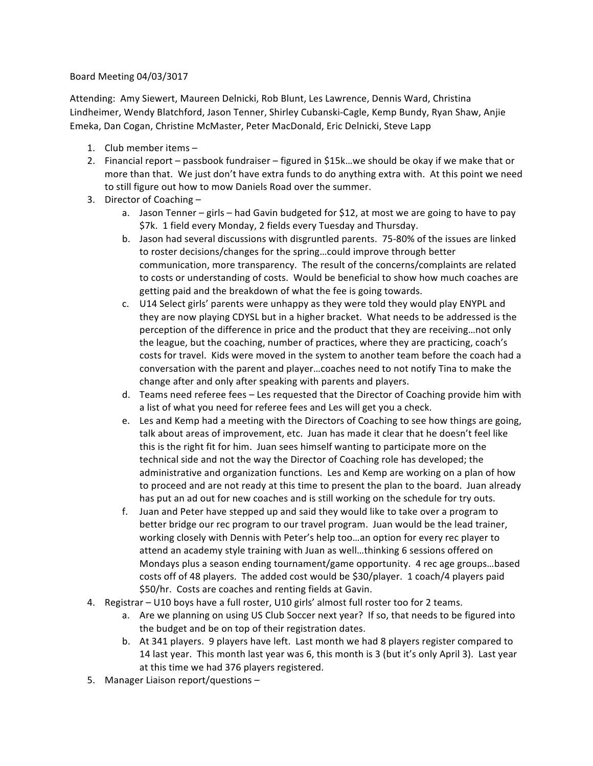## Board Meeting 04/03/3017

Attending: Amy Siewert, Maureen Delnicki, Rob Blunt, Les Lawrence, Dennis Ward, Christina Lindheimer, Wendy Blatchford, Jason Tenner, Shirley Cubanski-Cagle, Kemp Bundy, Ryan Shaw, Anjie Emeka, Dan Cogan, Christine McMaster, Peter MacDonald, Eric Delnicki, Steve Lapp

- 1. Club member items  $-$
- 2. Financial report passbook fundraiser figured in \$15k...we should be okay if we make that or more than that. We just don't have extra funds to do anything extra with. At this point we need to still figure out how to mow Daniels Road over the summer.
- 3. Director of Coaching  $$ 
	- a. Jason Tenner girls had Gavin budgeted for \$12, at most we are going to have to pay \$7k. 1 field every Monday, 2 fields every Tuesday and Thursday.
	- b. Jason had several discussions with disgruntled parents. 75-80% of the issues are linked to roster decisions/changes for the spring...could improve through better communication, more transparency. The result of the concerns/complaints are related to costs or understanding of costs. Would be beneficial to show how much coaches are getting paid and the breakdown of what the fee is going towards.
	- c. U14 Select girls' parents were unhappy as they were told they would play ENYPL and they are now playing CDYSL but in a higher bracket. What needs to be addressed is the perception of the difference in price and the product that they are receiving...not only the league, but the coaching, number of practices, where they are practicing, coach's costs for travel. Kids were moved in the system to another team before the coach had a conversation with the parent and player...coaches need to not notify Tina to make the change after and only after speaking with parents and players.
	- d. Teams need referee fees Les requested that the Director of Coaching provide him with a list of what you need for referee fees and Les will get you a check.
	- e. Les and Kemp had a meeting with the Directors of Coaching to see how things are going, talk about areas of improvement, etc. Juan has made it clear that he doesn't feel like this is the right fit for him. Juan sees himself wanting to participate more on the technical side and not the way the Director of Coaching role has developed; the administrative and organization functions. Les and Kemp are working on a plan of how to proceed and are not ready at this time to present the plan to the board. Juan already has put an ad out for new coaches and is still working on the schedule for try outs.
	- f. Juan and Peter have stepped up and said they would like to take over a program to better bridge our rec program to our travel program. Juan would be the lead trainer, working closely with Dennis with Peter's help too...an option for every rec player to attend an academy style training with Juan as well...thinking 6 sessions offered on Mondays plus a season ending tournament/game opportunity. 4 rec age groups...based costs off of 48 players. The added cost would be \$30/player. 1 coach/4 players paid \$50/hr. Costs are coaches and renting fields at Gavin.
- 4. Registrar U10 boys have a full roster, U10 girls' almost full roster too for 2 teams.
	- a. Are we planning on using US Club Soccer next year? If so, that needs to be figured into the budget and be on top of their registration dates.
	- b. At 341 players. 9 players have left. Last month we had 8 players register compared to 14 last year. This month last year was 6, this month is 3 (but it's only April 3). Last year at this time we had 376 players registered.
- 5. Manager Liaison report/questions -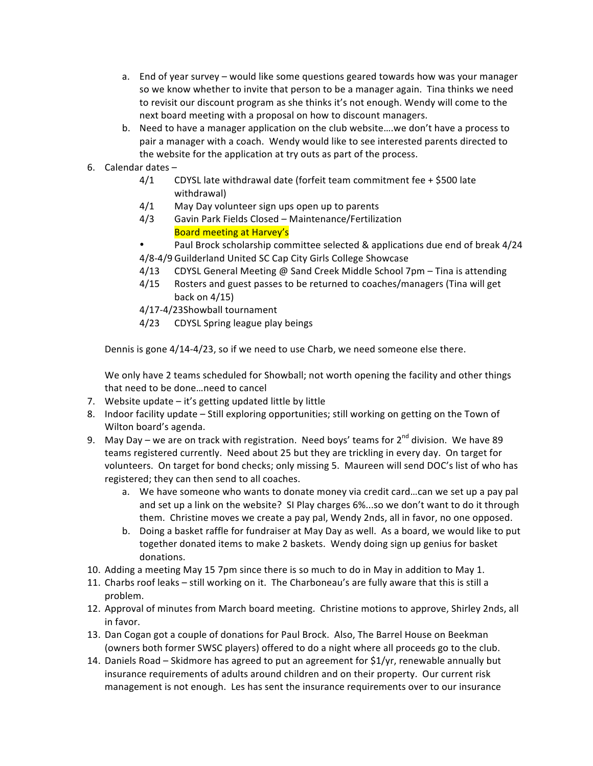- a. End of year survey would like some questions geared towards how was your manager so we know whether to invite that person to be a manager again. Tina thinks we need to revisit our discount program as she thinks it's not enough. Wendy will come to the next board meeting with a proposal on how to discount managers.
- b. Need to have a manager application on the club website....we don't have a process to pair a manager with a coach. Wendy would like to see interested parents directed to the website for the application at try outs as part of the process.

## 6. Calendar dates  $-$

- $4/1$  CDYSL late withdrawal date (forfeit team commitment fee + \$500 late withdrawal)
- $4/1$  May Day volunteer sign ups open up to parents
- 4/3 Gavin Park Fields Closed Maintenance/Fertilization Board meeting at Harvey's
- Paul Brock scholarship committee selected & applications due end of break 4/24 4/8-4/9 Guilderland United SC Cap City Girls College Showcase
- $4/13$  CDYSL General Meeting @ Sand Creek Middle School 7pm Tina is attending
- 4/15 Rosters and guest passes to be returned to coaches/managers (Tina will get back on  $4/15$ )
- 4/17-4/23Showball tournament
- 4/23 CDYSL Spring league play beings

Dennis is gone 4/14-4/23, so if we need to use Charb, we need someone else there.

We only have 2 teams scheduled for Showball; not worth opening the facility and other things that need to be done...need to cancel

- 7. Website update  $-$  it's getting updated little by little
- 8. Indoor facility update Still exploring opportunities; still working on getting on the Town of Wilton board's agenda.
- 9. May Day we are on track with registration. Need boys' teams for  $2^{nd}$  division. We have 89 teams registered currently. Need about 25 but they are trickling in every day. On target for volunteers. On target for bond checks; only missing 5. Maureen will send DOC's list of who has registered; they can then send to all coaches.
	- a. We have someone who wants to donate money via credit card...can we set up a pay pal and set up a link on the website? SI Play charges 6%...so we don't want to do it through them. Christine moves we create a pay pal, Wendy 2nds, all in favor, no one opposed.
	- b. Doing a basket raffle for fundraiser at May Day as well. As a board, we would like to put together donated items to make 2 baskets. Wendy doing sign up genius for basket donations.
- 10. Adding a meeting May 15 7pm since there is so much to do in May in addition to May 1.
- 11. Charbs roof leaks still working on it. The Charboneau's are fully aware that this is still a problem.
- 12. Approval of minutes from March board meeting. Christine motions to approve, Shirley 2nds, all in favor.
- 13. Dan Cogan got a couple of donations for Paul Brock. Also, The Barrel House on Beekman (owners both former SWSC players) offered to do a night where all proceeds go to the club.
- 14. Daniels Road Skidmore has agreed to put an agreement for  $$1/yr$ , renewable annually but insurance requirements of adults around children and on their property. Our current risk management is not enough. Les has sent the insurance requirements over to our insurance